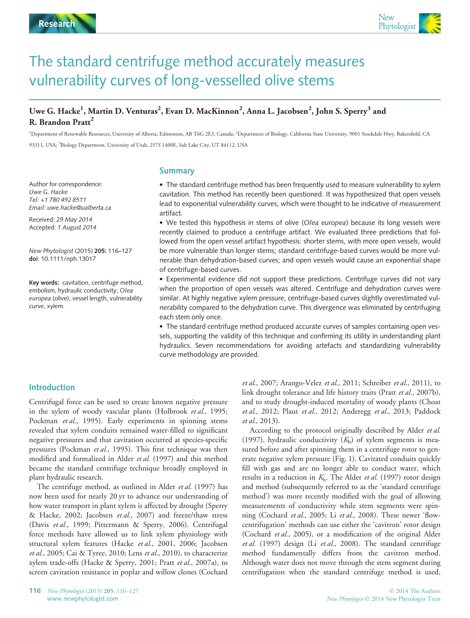

# The standard centrifuge method accurately measures vulnerability curves of long-vesselled olive stems

# Uwe G. Hacke<sup>1</sup>, Martin D. Venturas<sup>2</sup>, Evan D. MacKinnon<sup>2</sup>, Anna L. Jacobsen<sup>2</sup>, John S. Sperry<sup>3</sup> and R. Brandon Pratt<sup>2</sup>

<sup>1</sup>Department of Renewable Resources, University of Alberta, Edmonton, AB T6G 2E3, Canada; <sup>2</sup>Department of Biology, California State University, 9001 Stockdale Hwy, Bakersfield, CA 93311, USA; <sup>3</sup>Biology Department, University of Utah, 257S 1400E, Salt Lake City, UT 84112, USA

Summary

Author for correspondence:<br>Uwe G. Hacke Tel: +1 780 492 8511 Email: uwe.hacke@ualberta.ca

Received: 29 May 2014 Accepted: 1 August 2014

New Phytologist (2015) 205: 116–127 doi: 10.1111/nph.13017

Key words: cavitation, centrifuge method, embolism, hydraulic conductivity, Olea europea (olive), vessel length, vulnerability curve, xylem.

 The standard centrifuge method has been frequently used to measure vulnerability to xylem cavitation. This method has recently been questioned. It was hypothesized that open vessels lead to exponential vulnerability curves, which were thought to be indicative of measurement artifact.

 We tested this hypothesis in stems of olive (Olea europea) because its long vessels were recently claimed to produce a centrifuge artifact. We evaluated three predictions that followed from the open vessel artifact hypothesis: shorter stems, with more open vessels, would be more vulnerable than longer stems; standard centrifuge-based curves would be more vulnerable than dehydration-based curves; and open vessels would cause an exponential shape of centrifuge-based curves.

 Experimental evidence did not support these predictions. Centrifuge curves did not vary when the proportion of open vessels was altered. Centrifuge and dehydration curves were similar. At highly negative xylem pressure, centrifuge-based curves slightly overestimated vulnerability compared to the dehydration curve. This divergence was eliminated by centrifuging each stem only once.

 The standard centrifuge method produced accurate curves of samples containing open vessels, supporting the validity of this technique and confirming its utility in understanding plant hydraulics. Seven recommendations for avoiding artefacts and standardizing vulnerability curve methodology are provided.

## Introduction

Centrifugal force can be used to create known negative pressure in the xylem of woody vascular plants (Holbrook et al., 1995; Pockman et al., 1995). Early experiments in spinning stems revealed that xylem conduits remained water-filled to significant negative pressures and that cavitation occurred at species-specific pressures (Pockman et al., 1995). This first technique was then modified and formalized in Alder et al. (1997) and this method became the standard centrifuge technique broadly employed in plant hydraulic research.

The centrifuge method, as outlined in Alder et al. (1997) has now been used for nearly 20 yr to advance our understanding of how water transport in plant xylem is affected by drought (Sperry & Hacke, 2002; Jacobsen et al., 2007) and freeze/thaw stress (Davis et al., 1999; Pittermann & Sperry, 2006). Centrifugal force methods have allowed us to link xylem physiology with structural xylem features (Hacke et al., 2001, 2006; Jacobsen et al., 2005; Cai & Tyree, 2010; Lens et al., 2010), to characterize xylem trade-offs (Hacke & Sperry, 2001; Pratt et al., 2007a), to screen cavitation resistance in poplar and willow clones (Cochard

et al., 2007; Arango-Velez et al., 2011; Schreiber et al., 2011), to link drought tolerance and life history traits (Pratt et al., 2007b), and to study drought-induced mortality of woody plants (Choat et al., 2012; Plaut et al., 2012; Anderegg et al., 2013; Paddock et al., 2013).

According to the protocol originally described by Alder et al. (1997), hydraulic conductivity  $(K<sub>h</sub>)$  of xylem segments is measured before and after spinning them in a centrifuge rotor to generate negative xylem pressure (Fig. 1). Cavitated conduits quickly fill with gas and are no longer able to conduct water, which results in a reduction in  $K<sub>h</sub>$ . The Alder *et al.* (1997) rotor design and method (subsequently referred to as the 'standard centrifuge method') was more recently modified with the goal of allowing measurements of conductivity while stem segments were spinning (Cochard et al., 2005; Li et al., 2008). These newer 'flowcentrifugation' methods can use either the 'cavitron' rotor design (Cochard et al., 2005), or a modification of the original Alder et al. (1997) design (Li et al., 2008). The standard centrifuge method fundamentally differs from the cavitron method. Although water does not move through the stem segment during centrifugation when the standard centrifuge method is used,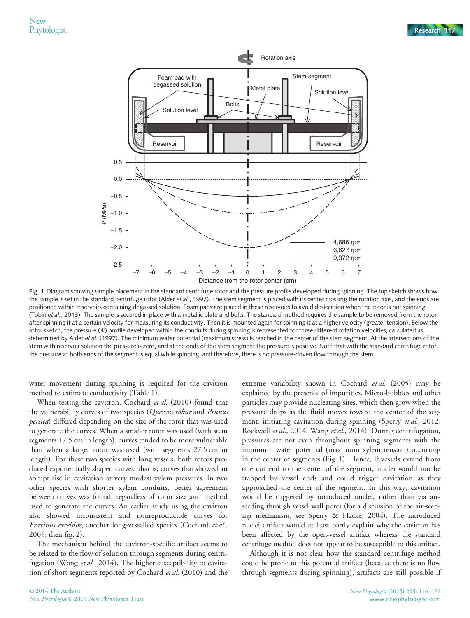

Fig. 1 Diagram showing sample placement in the standard centrifuge rotor and the pressure profile developed during spinning. The top sketch shows how the sample is set in the standard centrifuge rotor (Alder et al., 1997). The stem segment is placed with its center crossing the rotation axis, and the ends are positioned within reservoirs containing degassed solution. Foam pads are placed in these reservoirs to avoid desiccation when the rotor is not spinning (Tobin et al., 2013). The sample is secured in place with a metallic plate and bolts. The standard method requires the sample to be removed from the rotor after spinning it at a certain velocity for measuring its conductivity. Then it is mounted again for spinning it at a higher velocity (greater tension). Below the rotor sketch, the pressure (Ψ) profile developed within the conduits during spinning is represented for three different rotation velocities, calculated as determined by Alder et al. (1997). The minimum water potential (maximum stress) is reached in the center of the stem segment. At the intersections of the stem with reservoir solution the pressure is zero, and at the ends of the stem segment the pressure is positive. Note that with the standard centrifuge rotor, the pressure at both ends of the segment is equal while spinning, and therefore, there is no pressure-driven flow through the stem.

water movement during spinning is required for the cavitron method to estimate conductivity (Table 1).

When testing the cavitron, Cochard et al. (2010) found that the vulnerability curves of two species (Quercus robur and Prunus persica) differed depending on the size of the rotor that was used to generate the curves. When a smaller rotor was used (with stem segments 17.5 cm in length), curves tended to be more vulnerable than when a larger rotor was used (with segments 27.5 cm in length). For these two species with long vessels, both rotors produced exponentially shaped curves: that is, curves that showed an abrupt rise in cavitation at very modest xylem pressures. In two other species with shorter xylem conduits, better agreement between curves was found, regardless of rotor size and method used to generate the curves. An earlier study using the cavitron also showed inconsistent and nonreproducible curves for Fraxinus excelsior, another long-vesselled species (Cochard et al., 2005; their fig. 2).

The mechanism behind the cavitron-specific artifact seems to be related to the flow of solution through segments during centrifugation (Wang et al., 2014). The higher susceptibility to cavitation of short segments reported by Cochard et al. (2010) and the extreme variability shown in Cochard et al. (2005) may be explained by the presence of impurities. Micro-bubbles and other particles may provide nucleating sites, which then grow when the pressure drops as the fluid moves toward the center of the segment, initiating cavitation during spinning (Sperry et al., 2012; Rockwell et al., 2014; Wang et al., 2014). During centrifugation, pressures are not even throughout spinning segments with the minimum water potential (maximum xylem tension) occurring in the center of segments (Fig. 1). Hence, if vessels extend from one cut end to the center of the segment, nuclei would not be trapped by vessel ends and could trigger cavitation as they approached the center of the segment. In this way, cavitation would be triggered by introduced nuclei, rather than via airseeding through vessel wall pores (for a discussion of the air-seeding mechanism, see Sperry & Hacke, 2004). The introduced nuclei artifact would at least partly explain why the cavitron has been affected by the open-vessel artifact whereas the standard centrifuge method does not appear to be susceptible to this artifact.

Although it is not clear how the standard centrifuge method could be prone to this potential artifact (because there is no flow through segments during spinning), artifacts are still possible if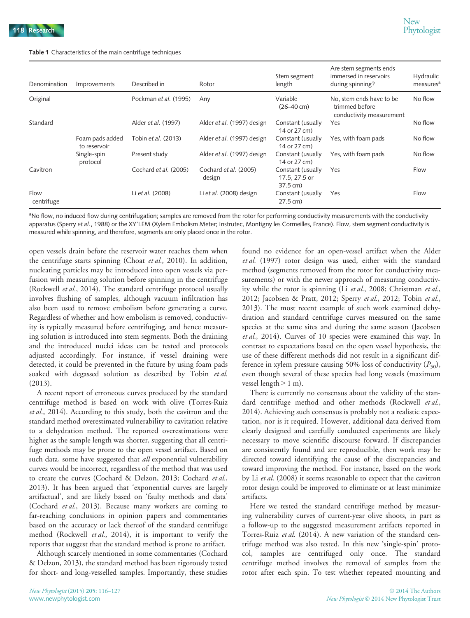#### Table 1 Characteristics of the main centrifuge techniques

| Denomination       | Improvements                    | Described in          | Rotor                           | Stem segment<br>length                         | Are stem segments ends<br>immersed in reservoirs<br>during spinning?   | Hydraulic<br>measures <sup>a</sup> |
|--------------------|---------------------------------|-----------------------|---------------------------------|------------------------------------------------|------------------------------------------------------------------------|------------------------------------|
| Original           |                                 | Pockman et al. (1995) | Any                             | Variable<br>$(26 - 40$ cm)                     | No, stem ends have to be<br>trimmed before<br>conductivity measurement | No flow                            |
| Standard           |                                 | Alder et al. (1997)   | Alder et al. (1997) design      | Constant (usually<br>14 or 27 cm)              | Yes                                                                    | No flow                            |
|                    | Foam pads added<br>to reservoir | Tobin et al. (2013)   | Alder et al. (1997) design      | Constant (usually<br>14 or 27 cm)              | Yes, with foam pads                                                    | No flow                            |
|                    | Single-spin<br>protocol         | Present study         | Alder et al. (1997) design      | Constant (usually<br>14 or 27 cm)              | Yes, with foam pads                                                    | No flow                            |
| Cavitron           |                                 | Cochard et al. (2005) | Cochard et al. (2005)<br>design | Constant (usually<br>17.5, 27.5 or<br>37.5 cm) | Yes                                                                    | Flow                               |
| Flow<br>centrifuge |                                 | Li et al. (2008)      | Li et al. $(2008)$ design       | Constant (usually<br>27.5 cm)                  | Yes                                                                    | Flow                               |

<sup>a</sup>No flow, no induced flow during centrifugation; samples are removed from the rotor for performing conductivity measurements with the conductivity apparatus (Sperry et al., 1988) or the XY'LEM (Xylem Embolism Meter; Instrutec, Montigny les Cormeilles, France). Flow, stem segment conductivity is measured while spinning, and therefore, segments are only placed once in the rotor.

open vessels drain before the reservoir water reaches them when the centrifuge starts spinning (Choat et al., 2010). In addition, nucleating particles may be introduced into open vessels via perfusion with measuring solution before spinning in the centrifuge (Rockwell et al., 2014). The standard centrifuge protocol usually involves flushing of samples, although vacuum infiltration has also been used to remove embolism before generating a curve. Regardless of whether and how embolism is removed, conductivity is typically measured before centrifuging, and hence measuring solution is introduced into stem segments. Both the draining and the introduced nuclei ideas can be tested and protocols adjusted accordingly. For instance, if vessel draining were detected, it could be prevented in the future by using foam pads soaked with degassed solution as described by Tobin et al. (2013).

A recent report of erroneous curves produced by the standard centrifuge method is based on work with olive (Torres-Ruiz et al., 2014). According to this study, both the cavitron and the standard method overestimated vulnerability to cavitation relative to a dehydration method. The reported overestimations were higher as the sample length was shorter, suggesting that all centrifuge methods may be prone to the open vessel artifact. Based on such data, some have suggested that *all* exponential vulnerability curves would be incorrect, regardless of the method that was used to create the curves (Cochard & Delzon, 2013; Cochard et al., 2013). It has been argued that 'exponential curves are largely artifactual', and are likely based on 'faulty methods and data' (Cochard et al., 2013). Because many workers are coming to far-reaching conclusions in opinion papers and commentaries based on the accuracy or lack thereof of the standard centrifuge method (Rockwell et al., 2014), it is important to verify the reports that suggest that the standard method is prone to artifact.

Although scarcely mentioned in some commentaries (Cochard & Delzon, 2013), the standard method has been rigorously tested for short- and long-vesselled samples. Importantly, these studies

found no evidence for an open-vessel artifact when the Alder et al. (1997) rotor design was used, either with the standard method (segments removed from the rotor for conductivity measurements) or with the newer approach of measuring conductivity while the rotor is spinning (Li et al., 2008; Christman et al., 2012; Jacobsen & Pratt, 2012; Sperry et al., 2012; Tobin et al., 2013). The most recent example of such work examined dehydration and standard centrifuge curves measured on the same species at the same sites and during the same season (Jacobsen et al., 2014). Curves of 10 species were examined this way. In contrast to expectations based on the open vessel hypothesis, the use of these different methods did not result in a significant difference in xylem pressure causing 50% loss of conductivity  $(P_{50})$ , even though several of these species had long vessels (maximum vessel length > 1 m).

There is currently no consensus about the validity of the standard centrifuge method and other methods (Rockwell et al., 2014). Achieving such consensus is probably not a realistic expectation, nor is it required. However, additional data derived from clearly designed and carefully conducted experiments are likely necessary to move scientific discourse forward. If discrepancies are consistently found and are reproducible, then work may be directed toward identifying the cause of the discrepancies and toward improving the method. For instance, based on the work by Li *et al.* (2008) it seems reasonable to expect that the cavitron rotor design could be improved to eliminate or at least minimize artifacts.

Here we tested the standard centrifuge method by measuring vulnerability curves of current-year olive shoots, in part as a follow-up to the suggested measurement artifacts reported in Torres-Ruiz et al. (2014). A new variation of the standard centrifuge method was also tested. In this new 'single-spin' protocol, samples are centrifuged only once. The standard centrifuge method involves the removal of samples from the rotor after each spin. To test whether repeated mounting and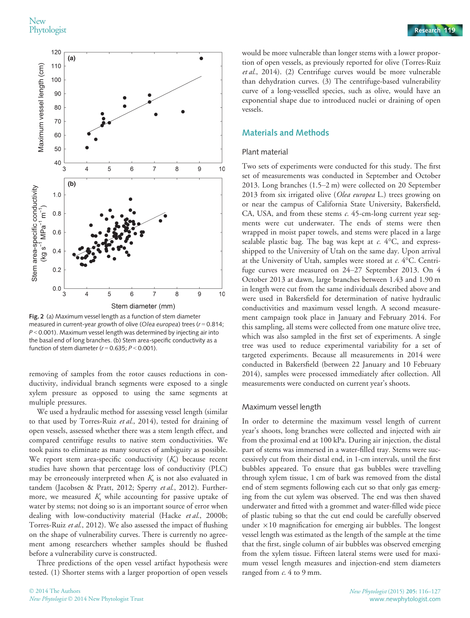

Fig. 2 (a) Maximum vessel length as a function of stem diameter measured in current-year growth of olive (Olea europea) trees ( $r = 0.814$ ;  $P < 0.001$ ). Maximum vessel length was determined by injecting air into the basal end of long branches. (b) Stem area-specific conductivity as a function of stem diameter ( $r = 0.635$ ;  $P < 0.001$ ).

removing of samples from the rotor causes reductions in conductivity, individual branch segments were exposed to a single xylem pressure as opposed to using the same segments at multiple pressures.

We used a hydraulic method for assessing vessel length (similar to that used by Torres-Ruiz et al., 2014), tested for draining of open vessels, assessed whether there was a stem length effect, and compared centrifuge results to native stem conductivities. We took pains to eliminate as many sources of ambiguity as possible. We report stem area-specific conductivity  $(K<sub>s</sub>)$  because recent studies have shown that percentage loss of conductivity (PLC) may be erroneously interpreted when  $K<sub>s</sub>$  is not also evaluated in tandem (Jacobsen & Pratt, 2012; Sperry et al., 2012). Furthermore, we measured  $K<sub>s</sub>$  while accounting for passive uptake of water by stems; not doing so is an important source of error when dealing with low-conductivity material (Hacke et al., 2000b; Torres-Ruiz et al., 2012). We also assessed the impact of flushing on the shape of vulnerability curves. There is currently no agreement among researchers whether samples should be flushed before a vulnerability curve is constructed.

Three predictions of the open vessel artifact hypothesis were tested. (1) Shorter stems with a larger proportion of open vessels

would be more vulnerable than longer stems with a lower proportion of open vessels, as previously reported for olive (Torres-Ruiz et al., 2014). (2) Centrifuge curves would be more vulnerable than dehydration curves. (3) The centrifuge-based vulnerability curve of a long-vesselled species, such as olive, would have an exponential shape due to introduced nuclei or draining of open vessels.

# Materials and Methods

#### Plant material

Two sets of experiments were conducted for this study. The first set of measurements was conducted in September and October 2013. Long branches (1.5–2 m) were collected on 20 September 2013 from six irrigated olive (Olea europea L.) trees growing on or near the campus of California State University, Bakersfield, CA, USA, and from these stems c. 45-cm-long current year segments were cut underwater. The ends of stems were then wrapped in moist paper towels, and stems were placed in a large sealable plastic bag. The bag was kept at  $c$ . 4°C, and expressshipped to the University of Utah on the same day. Upon arrival at the University of Utah, samples were stored at  $c$ . 4°C. Centrifuge curves were measured on 24–27 September 2013. On 4 October 2013 at dawn, large branches between 1.43 and 1.90 m in length were cut from the same individuals described above and were used in Bakersfield for determination of native hydraulic conductivities and maximum vessel length. A second measurement campaign took place in January and February 2014. For this sampling, all stems were collected from one mature olive tree, which was also sampled in the first set of experiments. A single tree was used to reduce experimental variability for a set of targeted experiments. Because all measurements in 2014 were conducted in Bakersfield (between 22 January and 10 February 2014), samples were processed immediately after collection. All measurements were conducted on current year's shoots.

#### Maximum vessel length

In order to determine the maximum vessel length of current year's shoots, long branches were collected and injected with air from the proximal end at 100 kPa. During air injection, the distal part of stems was immersed in a water-filled tray. Stems were successively cut from their distal end, in 1-cm intervals, until the first bubbles appeared. To ensure that gas bubbles were travelling through xylem tissue, 1 cm of bark was removed from the distal end of stem segments following each cut so that only gas emerging from the cut xylem was observed. The end was then shaved underwater and fitted with a grommet and water-filled wide piece of plastic tubing so that the cut end could be carefully observed under  $\times 10$  magnification for emerging air bubbles. The longest vessel length was estimated as the length of the sample at the time that the first, single column of air bubbles was observed emerging from the xylem tissue. Fifteen lateral stems were used for maximum vessel length measures and injection-end stem diameters ranged from  $c$ . 4 to 9 mm.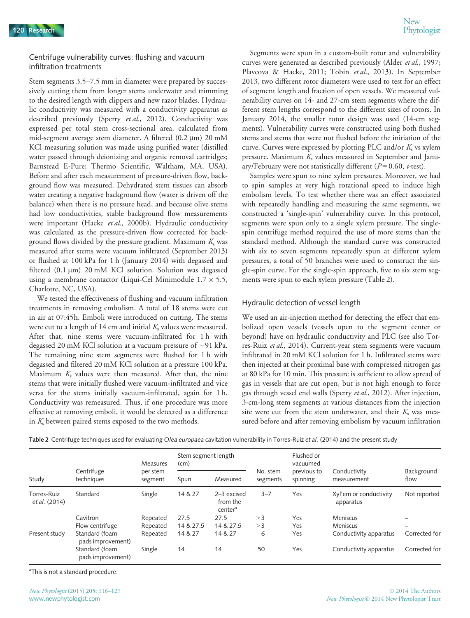#### Centrifuge vulnerability curves; flushing and vacuum infiltration treatments

Stem segments 3.5–7.5 mm in diameter were prepared by successively cutting them from longer stems underwater and trimming to the desired length with clippers and new razor blades. Hydraulic conductivity was measured with a conductivity apparatus as described previously (Sperry et al., 2012). Conductivity was expressed per total stem cross-sectional area, calculated from mid-segment average stem diameter. A filtered  $(0.2 \mu m)$  20 mM KCl measuring solution was made using purified water (distilled water passed through deionizing and organic removal cartridges; Barnstead E-Pure; Thermo Scientific, Waltham, MA, USA). Before and after each measurement of pressure-driven flow, background flow was measured. Dehydrated stem tissues can absorb water creating a negative background flow (water is driven off the balance) when there is no pressure head, and because olive stems had low conductivities, stable background flow measurements were important (Hacke et al., 2000b). Hydraulic conductivity was calculated as the pressure-driven flow corrected for background flows divided by the pressure gradient. Maximum  $K<sub>s</sub>$  was measured after stems were vacuum infiltrated (September 2013) or flushed at 100 kPa for 1 h (January 2014) with degassed and filtered  $(0.1 \mu m)$  20 mM KCl solution. Solution was degassed using a membrane contactor (Liqui-Cel Minimodule  $1.7 \times 5.5$ , Charlotte, NC, USA).

We tested the effectiveness of flushing and vacuum infiltration treatments in removing embolism. A total of 18 stems were cut in air at 07:45h. Emboli were introduced on cutting. The stems were cut to a length of 14 cm and initial  $K_s$  values were measured. After that, nine stems were vacuum-infiltrated for 1 h with degassed 20 mM KCl solution at a vacuum pressure of  $-91$  kPa. The remaining nine stem segments were flushed for 1 h with degassed and filtered 20 mM KCl solution at a pressure 100 kPa. Maximum  $K_s$  values were then measured. After that, the nine stems that were initially flushed were vacuum-infiltrated and vice versa for the stems initially vacuum-infiltrated, again for 1 h. Conductivity was remeasured. Thus, if one procedure was more effective at removing emboli, it would be detected as a difference in  $K<sub>s</sub>$  between paired stems exposed to the two methods.

Segments were spun in a custom-built rotor and vulnerability curves were generated as described previously (Alder et al., 1997; Plavcova & Hacke, 2011; Tobin et al., 2013). In September 2013, two different rotor diameters were used to test for an effect of segment length and fraction of open vessels. We measured vulnerability curves on 14- and 27-cm stem segments where the different stem lengths correspond to the different sizes of rotors. In January 2014, the smaller rotor design was used (14-cm segments). Vulnerability curves were constructed using both flushed stems and stems that were not flushed before the initiation of the curve. Curves were expressed by plotting PLC and/or  $K<sub>s</sub>$  vs xylem pressure. Maximum  $K_s$  values measured in September and January/February were not statistically different ( $P = 0.60$ ,  $t$ -test).

Samples were spun to nine xylem pressures. Moreover, we had to spin samples at very high rotational speed to induce high embolism levels. To test whether there was an effect associated with repeatedly handling and measuring the same segments, we constructed a 'single-spin' vulnerability curve. In this protocol, segments were spun only to a single xylem pressure. The singlespin centrifuge method required the use of more stems than the standard method. Although the standard curve was constructed with six to seven segments repeatedly spun at different xylem pressures, a total of 50 branches were used to construct the single-spin curve. For the single-spin approach, five to six stem segments were spun to each xylem pressure (Table 2).

## Hydraulic detection of vessel length

We used an air-injection method for detecting the effect that embolized open vessels (vessels open to the segment center or beyond) have on hydraulic conductivity and PLC (see also Torres-Ruiz et al., 2014). Current-year stem segments were vacuum infiltrated in 20 mM KCl solution for 1 h. Infiltrated stems were then injected at their proximal base with compressed nitrogen gas at 80 kPa for 10 min. This pressure is sufficient to allow spread of gas in vessels that are cut open, but is not high enough to force gas through vessel end walls (Sperry et al., 2012). After injection, 3-cm-long stem segments at various distances from the injection site were cut from the stem underwater, and their  $K_s$  was measured before and after removing embolism by vacuum infiltration

| Table 2 Centrifuge techniques used for evaluating Olea europaea cavitation vulnerability in Torres-Ruiz et al. (2014) and the present study |  |  |  |  |
|---------------------------------------------------------------------------------------------------------------------------------------------|--|--|--|--|
|                                                                                                                                             |  |  |  |  |

| Study                        | Centrifuge<br>techniques            | <b>Measures</b><br>per stem<br>segment | Stem segment length<br>(cm) |                                                  |                      | Flushed or<br>vacuumed  |                                     |                    |
|------------------------------|-------------------------------------|----------------------------------------|-----------------------------|--------------------------------------------------|----------------------|-------------------------|-------------------------------------|--------------------|
|                              |                                     |                                        | Spun                        | Measured                                         | No. stem<br>segments | previous to<br>spinning | Conductivity<br>measurement         | Background<br>flow |
| Torres-Ruiz<br>et al. (2014) | Standard                            | Single                                 | 14 & 27                     | $2-3$ excised<br>from the<br>center <sup>a</sup> | $3 - 7$              | Yes                     | Xyl'em or conductivity<br>apparatus | Not reported       |
|                              | Cavitron                            | Repeated                               | 27.5                        | 27.5                                             | >3                   | Yes                     | <b>Meniscus</b>                     |                    |
|                              | Flow centrifuge                     | Repeated                               | 14 & 27.5                   | 14 & 27.5                                        | >3                   | Yes                     | Meniscus                            |                    |
| Present study                | Standard (foam<br>pads improvement) | Repeated                               | 14 & 27                     | 14 & 27                                          | 6                    | Yes                     | Conductivity apparatus              | Corrected for      |
|                              | Standard (foam<br>pads improvement) | Single                                 | 14                          | 14                                               | 50                   | Yes                     | Conductivity apparatus              | Corrected for      |

<sup>a</sup>This is not a standard procedure.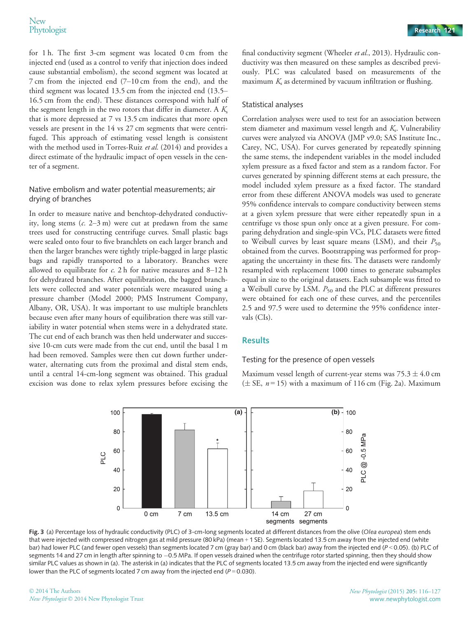for 1 h. The first 3-cm segment was located 0 cm from the injected end (used as a control to verify that injection does indeed cause substantial embolism), the second segment was located at 7 cm from the injected end (7–10 cm from the end), and the third segment was located 13.5 cm from the injected end (13.5– 16.5 cm from the end). These distances correspond with half of the segment length in the two rotors that differ in diameter. A  $K<sub>s</sub>$ that is more depressed at 7 vs 13.5 cm indicates that more open vessels are present in the 14 vs 27 cm segments that were centrifuged. This approach of estimating vessel length is consistent with the method used in Torres-Ruiz et al. (2014) and provides a direct estimate of the hydraulic impact of open vessels in the center of a segment.

## Native embolism and water potential measurements; air drying of branches

In order to measure native and benchtop-dehydrated conductivity, long stems  $(c. 2-3m)$  were cut at predawn from the same trees used for constructing centrifuge curves. Small plastic bags were sealed onto four to five branchlets on each larger branch and then the larger branches were tightly triple-bagged in large plastic bags and rapidly transported to a laboratory. Branches were allowed to equilibrate for  $c$ . 2 h for native measures and 8–12 h for dehydrated branches. After equilibration, the bagged branchlets were collected and water potentials were measured using a pressure chamber (Model 2000; PMS Instrument Company, Albany, OR, USA). It was important to use multiple branchlets because even after many hours of equilibration there was still variability in water potential when stems were in a dehydrated state. The cut end of each branch was then held underwater and successive 10-cm cuts were made from the cut end, until the basal 1 m had been removed. Samples were then cut down further underwater, alternating cuts from the proximal and distal stem ends, until a central 14-cm-long segment was obtained. This gradual excision was done to relax xylem pressures before excising the

final conductivity segment (Wheeler et al., 2013). Hydraulic conductivity was then measured on these samples as described previously. PLC was calculated based on measurements of the maximum  $K<sub>s</sub>$  as determined by vacuum infiltration or flushing.

## Statistical analyses

Correlation analyses were used to test for an association between stem diameter and maximum vessel length and  $K<sub>s</sub>$ . Vulnerability curves were analyzed via ANOVA (JMP v9.0; SAS Institute Inc., Carey, NC, USA). For curves generated by repeatedly spinning the same stems, the independent variables in the model included xylem pressure as a fixed factor and stem as a random factor. For curves generated by spinning different stems at each pressure, the model included xylem pressure as a fixed factor. The standard error from these different ANOVA models was used to generate 95% confidence intervals to compare conductivity between stems at a given xylem pressure that were either repeatedly spun in a centrifuge vs those spun only once at a given pressure. For comparing dehydration and single-spin VCs, PLC datasets were fitted to Weibull curves by least square means (LSM), and their  $P_{50}$ obtained from the curves. Bootstrapping was performed for propagating the uncertainty in these fits. The datasets were randomly resampled with replacement 1000 times to generate subsamples equal in size to the original datasets. Each subsample was fitted to a Weibull curve by LSM.  $P_{50}$  and the PLC at different pressures were obtained for each one of these curves, and the percentiles 2.5 and 97.5 were used to determine the 95% confidence intervals (CIs).

# Results

## Testing for the presence of open vessels

Maximum vessel length of current-year stems was  $75.3 \pm 4.0$  cm ( $\pm$  SE,  $n = 15$ ) with a maximum of 116 cm (Fig. 2a). Maximum



Fig. 3 (a) Percentage loss of hydraulic conductivity (PLC) of 3-cm-long segments located at different distances from the olive (Olea europea) stem ends that were injected with compressed nitrogen gas at mild pressure (80 kPa) (mean + 1 SE). Segments located 13.5 cm away from the injected end (white bar) had lower PLC (and fewer open vessels) than segments located 7 cm (gray bar) and 0 cm (black bar) away from the injected end (P < 0.05). (b) PLC of segments 14 and 27 cm in length after spinning to -0.5 MPa. If open vessels drained when the centrifuge rotor started spinning, then they should show similar PLC values as shown in (a). The asterisk in (a) indicates that the PLC of segments located 13.5 cm away from the injected end were significantly lower than the PLC of segments located 7 cm away from the injected end ( $P = 0.030$ ).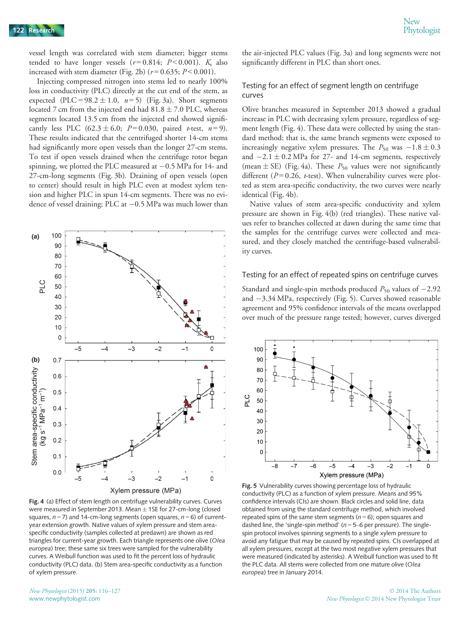vessel length was correlated with stem diameter; bigger stems tended to have longer vessels ( $r = 0.814$ ;  $P < 0.001$ ).  $K_s$  also increased with stem diameter (Fig. 2b) ( $r = 0.635$ ;  $P < 0.001$ ).

Injecting compressed nitrogen into stems led to nearly 100% loss in conductivity (PLC) directly at the cut end of the stem, as expected (PLC =  $98.2 \pm 1.0$ ,  $n=5$ ) (Fig. 3a). Short segments located 7 cm from the injected end had  $81.8 \pm 7.0$  PLC, whereas segments located 13.5 cm from the injected end showed significantly less PLC  $(62.3 \pm 6.0; P=0.030,$  paired *t*-test,  $n=9$ ). These results indicated that the centrifuged shorter 14-cm stems had significantly more open vessels than the longer 27-cm stems. To test if open vessels drained when the centrifuge rotor began spinning, we plotted the PLC measured at  $-0.5$  MPa for 14- and 27-cm-long segments (Fig. 3b). Draining of open vessels (open to center) should result in high PLC even at modest xylem tension and higher PLC in spun 14-cm segments. There was no evidence of vessel draining; PLC at  $-0.5$  MPa was much lower than



Fig. 4 (a) Effect of stem length on centrifuge vulnerability curves. Curves were measured in September 2013. Mean  $\pm$  1SE for 27-cm-long (closed squares,  $n = 7$ ) and 14-cm-long segments (open squares,  $n = 6$ ) of currentyear extension growth. Native values of xylem pressure and stem areaspecific conductivity (samples collected at predawn) are shown as red triangles for current-year growth. Each triangle represents one olive (Olea europea) tree; these same six trees were sampled for the vulnerability curves. A Weibull function was used to fit the percent loss of hydraulic conductivity (PLC) data. (b) Stem area-specific conductivity as a function of xylem pressure.

the air-injected PLC values (Fig. 3a) and long segments were not significantly different in PLC than short ones.

#### Testing for an effect of segment length on centrifuge curves

Olive branches measured in September 2013 showed a gradual increase in PLC with decreasing xylem pressure, regardless of segment length (Fig. 4). These data were collected by using the standard method; that is, the same branch segments were exposed to increasingly negative xylem pressures. The  $P_{50}$  was  $-1.8 \pm 0.3$ and  $-2.1 \pm 0.2$  MPa for 27- and 14-cm segments, respectively (mean  $\pm$  SE) (Fig. 4a). These  $P_{50}$  values were not significantly different ( $P = 0.26$ ,  $t$ -test). When vulnerability curves were plotted as stem area-specific conductivity, the two curves were nearly identical (Fig. 4b).

Native values of stem area-specific conductivity and xylem pressure are shown in Fig. 4(b) (red triangles). These native values refer to branches collected at dawn during the same time that the samples for the centrifuge curves were collected and measured, and they closely matched the centrifuge-based vulnerability curves.

#### Testing for an effect of repeated spins on centrifuge curves

Standard and single-spin methods produced  $P_{50}$  values of  $-2.92$ and  $-3.34$  MPa, respectively (Fig. 5). Curves showed reasonable agreement and 95% confidence intervals of the means overlapped over much of the pressure range tested; however, curves diverged



Fig. 5 Vulnerability curves showing percentage loss of hydraulic conductivity (PLC) as a function of xylem pressure. Means and 95% confidence intervals (CIs) are shown. Black circles and solid line, data obtained from using the standard centrifuge method, which involved repeated spins of the same stem segments ( $n = 6$ ); open squares and dashed line, the 'single-spin method' ( $n = 5-6$  per pressure). The singlespin protocol involves spinning segments to a single xylem pressure to avoid any fatigue that may be caused by repeated spins. CIs overlapped at all xylem pressures, except at the two most negative xylem pressures that were measured (indicated by asterisks). A Weibull function was used to fit the PLC data. All stems were collected from one mature olive (Olea europea) tree in January 2014.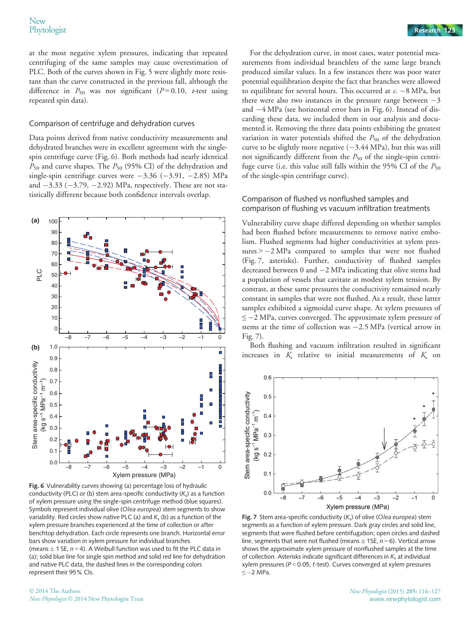#### Comparison of centrifuge and dehydration curves

Data points derived from native conductivity measurements and dehydrated branches were in excellent agreement with the singlespin centrifuge curve (Fig. 6). Both methods had nearly identical  $P_{50}$  and curve shapes. The  $P_{50}$  (95% CI) of the dehydration and single-spin centrifuge curves were  $-3.36$  ( $-3.91$ ,  $-2.85$ ) MPa and  $-3.33$  ( $-3.79$ ,  $-2.92$ ) MPa, respectively. These are not statistically different because both confidence intervals overlap.



Fig. 6 Vulnerability curves showing (a) percentage loss of hydraulic conductivity (PLC) or (b) stem area-specific conductivity  $(K<sub>s</sub>)$  as a function of xylem pressure using the single-spin centrifuge method (blue squares). Symbols represent individual olive (Olea europea) stem segments to show variability. Red circles show native PLC (a) and  $K_s$  (b) as a function of the xylem pressure branches experienced at the time of collection or after benchtop dehydration. Each circle represents one branch. Horizontal error bars show variation in xylem pressure for individual branches (means  $\pm$  1 SE, n = 4). A Weibull function was used to fit the PLC data in (a); solid blue line for single spin method and solid red line for dehydration and native PLC data, the dashed lines in the corresponding colors represent their 95% CIs.

For the dehydration curve, in most cases, water potential measurements from individual branchlets of the same large branch produced similar values. In a few instances there was poor water potential equilibration despite the fact that branches were allowed to equilibrate for several hours. This occurred at  $c. -8$  MPa, but there were also two instances in the pressure range between  $-3$ and  $-4$  MPa (see horizontal error bars in Fig. 6). Instead of discarding these data, we included them in our analysis and documented it. Removing the three data points exhibiting the greatest variation in water potentials shifted the  $P_{50}$  of the dehydration curve to be slightly more negative  $(-3.44 \text{ MPa})$ , but this was still not significantly different from the  $P_{50}$  of the single-spin centrifuge curve (i.e. this value still falls within the 95% CI of the  $P_{50}$ of the single-spin centrifuge curve).

## Comparison of flushed vs nonflushed samples and comparison of flushing vs vacuum infiltration treatments

Vulnerability curve shape differed depending on whether samples had been flushed before measurements to remove native embolism. Flushed segments had higher conductivities at xylem pressures  $> -2$  MPa compared to samples that were not flushed (Fig. 7, asterisks). Further, conductivity of flushed samples decreased between  $0$  and  $-2$  MPa indicating that olive stems had a population of vessels that cavitate at modest xylem tension. By contrast, at these same pressures the conductivity remained nearly constant in samples that were not flushed. As a result, these latter samples exhibited a sigmoidal curve shape. At xylem pressures of  $\leq$  -2 MPa, curves converged. The approximate xylem pressure of stems at the time of collection was  $-2.5$  MPa (vertical arrow in Fig. 7).

Both flushing and vacuum infiltration resulted in significant increases in  $K_s$  relative to initial measurements of  $K_s$  on



Fig. 7 Stem area-specific conductivity  $(K_s)$  of olive (Olea europea) stem segments as a function of xylem pressure. Dark gray circles and solid line, segments that were flushed before centrifugation; open circles and dashed line, segments that were not flushed (means  $\pm$  1SE, n = 6). Vertical arrow shows the approximate xylem pressure of nonflushed samples at the time of collection. Asterisks indicate significant differences in  $K_s$  at individual xylem pressures (P <sup>&</sup>lt; 0.05, t-test). Curves converged at xylem pressures  $≤-2$  MPa.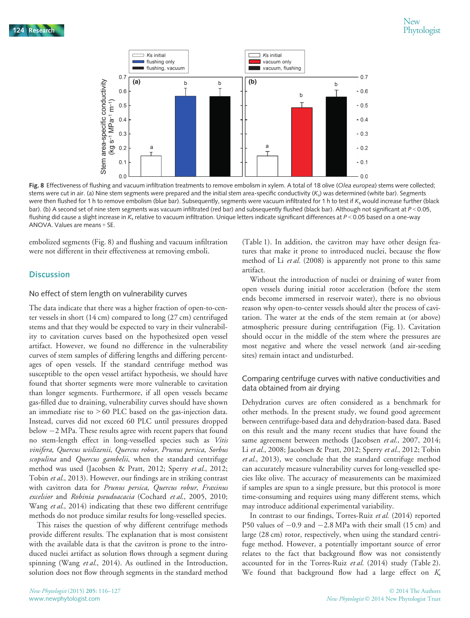

Fig. 8 Effectiveness of flushing and vacuum infiltration treatments to remove embolism in xylem. A total of 18 olive (Olea europea) stems were collected; stems were cut in air. (a) Nine stem segments were prepared and the initial stem area-specific conductivity  $(K_s)$  was determined (white bar). Segments were then flushed for 1 h to remove embolism (blue bar). Subsequently, segments were vacuum infiltrated for 1 h to test if  $K_s$  would increase further (black bar). (b) A second set of nine stem segments was vacuum infiltrated (red bar) and subsequently flushed (black bar). Although not significant at  $P < 0.05$ , flushing did cause a slight increase in  $K_s$  relative to vacuum infiltration. Unique letters indicate significant differences at  $P < 0.05$  based on a one-way ANOVA. Values are means + SE.

embolized segments (Fig. 8) and flushing and vacuum infiltration were not different in their effectiveness at removing emboli.

# **Discussion**

#### No effect of stem length on vulnerability curves

The data indicate that there was a higher fraction of open-to-center vessels in short (14 cm) compared to long (27 cm) centrifuged stems and that they would be expected to vary in their vulnerability to cavitation curves based on the hypothesized open vessel artifact. However, we found no difference in the vulnerability curves of stem samples of differing lengths and differing percentages of open vessels. If the standard centrifuge method was susceptible to the open vessel artifact hypothesis, we should have found that shorter segments were more vulnerable to cavitation than longer segments. Furthermore, if all open vessels became gas-filled due to draining, vulnerability curves should have shown an immediate rise to > 60 PLC based on the gas-injection data. Instead, curves did not exceed 60 PLC until pressures dropped below  $-2$  MPa. These results agree with recent papers that found no stem-length effect in long-vesselled species such as Vitis vinifera, Quercus wislizenii, Quercus robur, Prunus persica, Sorbus scopulina and Quercus gambelii, when the standard centrifuge method was used (Jacobsen & Pratt, 2012; Sperry et al., 2012; Tobin et al., 2013). However, our findings are in striking contrast with cavitron data for *Prunus persica*, Quercus robur, Fraxinus excelsior and Robinia pseudoacacia (Cochard et al., 2005, 2010; Wang et al., 2014) indicating that these two different centrifuge methods do not produce similar results for long-vesselled species.

This raises the question of why different centrifuge methods provide different results. The explanation that is most consistent with the available data is that the cavitron is prone to the introduced nuclei artifact as solution flows through a segment during spinning (Wang et al., 2014). As outlined in the Introduction, solution does not flow through segments in the standard method

(Table 1). In addition, the cavitron may have other design features that make it prone to introduced nuclei, because the flow method of Li *et al.* (2008) is apparently not prone to this same artifact.

Without the introduction of nuclei or draining of water from open vessels during initial rotor acceleration (before the stem ends become immersed in reservoir water), there is no obvious reason why open-to-center vessels should alter the process of cavitation. The water at the ends of the stem remain at (or above) atmospheric pressure during centrifugation (Fig. 1). Cavitation should occur in the middle of the stem where the pressures are most negative and where the vessel network (and air-seeding sites) remain intact and undisturbed.

# Comparing centrifuge curves with native conductivities and data obtained from air drying

Dehydration curves are often considered as a benchmark for other methods. In the present study, we found good agreement between centrifuge-based data and dehydration-based data. Based on this result and the many recent studies that have found the same agreement between methods (Jacobsen et al., 2007, 2014; Li et al., 2008; Jacobsen & Pratt, 2012; Sperry et al., 2012; Tobin et al., 2013), we conclude that the standard centrifuge method can accurately measure vulnerability curves for long-vesselled species like olive. The accuracy of measurements can be maximized if samples are spun to a single pressure, but this protocol is more time-consuming and requires using many different stems, which may introduce additional experimental variability.

In contrast to our findings, Torres-Ruiz et al. (2014) reported P50 values of  $-0.9$  and  $-2.8$  MPa with their small (15 cm) and large (28 cm) rotor, respectively, when using the standard centrifuge method. However, a potentially important source of error relates to the fact that background flow was not consistently accounted for in the Torres-Ruiz et al. (2014) study (Table 2). We found that background flow had a large effect on  $K_s$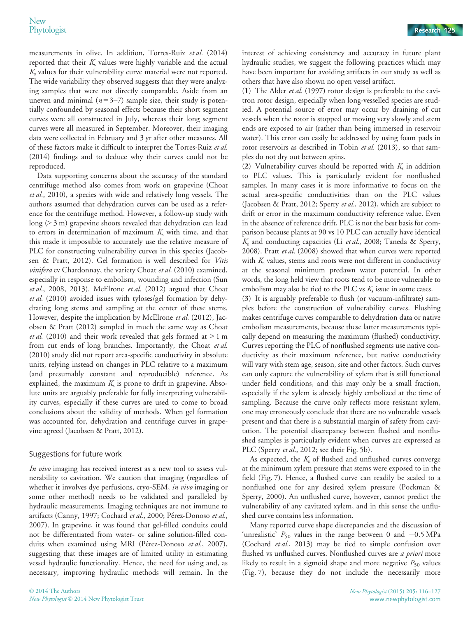measurements in olive. In addition, Torres-Ruiz et al. (2014) reported that their  $K<sub>s</sub>$  values were highly variable and the actual  $K<sub>s</sub>$  values for their vulnerability curve material were not reported. The wide variability they observed suggests that they were analyzing samples that were not directly comparable. Aside from an uneven and minimal  $(n=3-7)$  sample size, their study is potentially confounded by seasonal effects because their short segment curves were all constructed in July, whereas their long segment curves were all measured in September. Moreover, their imaging data were collected in February and 3 yr after other measures. All of these factors make it difficult to interpret the Torres-Ruiz et al. (2014) findings and to deduce why their curves could not be reproduced.

Data supporting concerns about the accuracy of the standard centrifuge method also comes from work on grapevine (Choat et al., 2010), a species with wide and relatively long vessels. The authors assumed that dehydration curves can be used as a reference for the centrifuge method. However, a follow-up study with long (> 3 m) grapevine shoots revealed that dehydration can lead to errors in determination of maximum  $K<sub>s</sub>$  with time, and that this made it impossible to accurately use the relative measure of PLC for constructing vulnerability curves in this species (Jacobsen & Pratt, 2012). Gel formation is well described for Vitis vinifera cv Chardonnay, the variety Choat et al. (2010) examined, especially in response to embolism, wounding and infection (Sun et al., 2008, 2013). McElrone et al. (2012) argued that Choat et al. (2010) avoided issues with tyloses/gel formation by dehydrating long stems and sampling at the center of these stems. However, despite the implication by McElrone et al. (2012), Jacobsen & Pratt (2012) sampled in much the same way as Choat et al. (2010) and their work revealed that gels formed at  $> 1$  m from cut ends of long branches. Importantly, the Choat et al. (2010) study did not report area-specific conductivity in absolute units, relying instead on changes in PLC relative to a maximum (and presumably constant and reproducible) reference. As explained, the maximum  $K<sub>s</sub>$  is prone to drift in grapevine. Absolute units are arguably preferable for fully interpreting vulnerability curves, especially if these curves are used to come to broad conclusions about the validity of methods. When gel formation was accounted for, dehydration and centrifuge curves in grapevine agreed (Jacobsen & Pratt, 2012).

## Suggestions for future work

In vivo imaging has received interest as a new tool to assess vulnerability to cavitation. We caution that imaging (regardless of whether it involves dye perfusions, cryo-SEM, in vivo imaging or some other method) needs to be validated and paralleled by hydraulic measurements. Imaging techniques are not immune to artifacts (Canny, 1997; Cochard et al., 2000; Pérez-Donoso et al., 2007). In grapevine, it was found that gel-filled conduits could not be differentiated from water- or saline solution-filled conduits when examined using MRI (Pérez-Donoso et al., 2007), suggesting that these images are of limited utility in estimating vessel hydraulic functionality. Hence, the need for using and, as necessary, improving hydraulic methods will remain. In the

interest of achieving consistency and accuracy in future plant hydraulic studies, we suggest the following practices which may have been important for avoiding artifacts in our study as well as others that have also shown no open vessel artifact.

(1) The Alder et al. (1997) rotor design is preferable to the cavitron rotor design, especially when long-vesselled species are studied. A potential source of error may occur by draining of cut vessels when the rotor is stopped or moving very slowly and stem ends are exposed to air (rather than being immersed in reservoir water). This error can easily be addressed by using foam pads in rotor reservoirs as described in Tobin et al. (2013), so that samples do not dry out between spins.

(2) Vulnerability curves should be reported with  $K<sub>s</sub>$  in addition to PLC values. This is particularly evident for nonflushed samples. In many cases it is more informative to focus on the actual area-specific conductivities than on the PLC values (Jacobsen & Pratt, 2012; Sperry et al., 2012), which are subject to drift or error in the maximum conductivity reference value. Even in the absence of reference drift, PLC is not the best basis for comparison because plants at 90 vs 10 PLC can actually have identical  $K<sub>s</sub>$  and conducting capacities (Li et al., 2008; Taneda & Sperry, 2008). Pratt et al. (2008) showed that when curves were reported with  $K<sub>s</sub>$  values, stems and roots were not different in conductivity at the seasonal minimum predawn water potential. In other words, the long held view that roots tend to be more vulnerable to embolism may also be tied to the PLC vs  $K_s$  issue in some cases.

(3) It is arguably preferable to flush (or vacuum-infiltrate) samples before the construction of vulnerability curves. Flushing makes centrifuge curves comparable to dehydration data or native embolism measurements, because these latter measurements typically depend on measuring the maximum (flushed) conductivity. Curves reporting the PLC of nonflushed segments use native conductivity as their maximum reference, but native conductivity will vary with stem age, season, site and other factors. Such curves can only capture the vulnerability of xylem that is still functional under field conditions, and this may only be a small fraction, especially if the xylem is already highly embolized at the time of sampling. Because the curve only reflects more resistant xylem, one may erroneously conclude that there are no vulnerable vessels present and that there is a substantial margin of safety from cavitation. The potential discrepancy between flushed and nonflushed samples is particularly evident when curves are expressed as PLC (Sperry et al., 2012; see their Fig. 5b).

As expected, the  $K<sub>s</sub>$  of flushed and unflushed curves converge at the minimum xylem pressure that stems were exposed to in the field (Fig. 7). Hence, a flushed curve can readily be scaled to a nonflushed one for any desired xylem pressure (Pockman & Sperry, 2000). An unflushed curve, however, cannot predict the vulnerability of any cavitated xylem, and in this sense the unflushed curve contains less information.

Many reported curve shape discrepancies and the discussion of 'unrealistic'  $P_{50}$  values in the range between 0 and  $-0.5$  MPa (Cochard et al., 2013) may be tied to simple confusion over flushed vs unflushed curves. Nonflushed curves are *a priori* more likely to result in a sigmoid shape and more negative  $P_{50}$  values (Fig. 7), because they do not include the necessarily more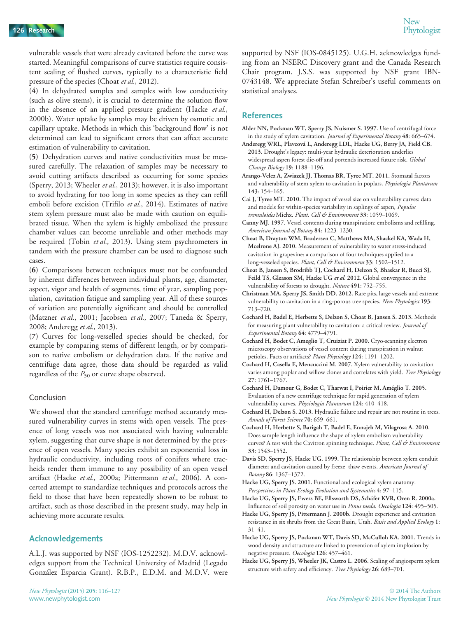vulnerable vessels that were already cavitated before the curve was started. Meaningful comparisons of curve statistics require consistent scaling of flushed curves, typically to a characteristic field pressure of the species (Choat et al., 2012).

(4) In dehydrated samples and samples with low conductivity (such as olive stems), it is crucial to determine the solution flow in the absence of an applied pressure gradient (Hacke et al., 2000b). Water uptake by samples may be driven by osmotic and capillary uptake. Methods in which this 'background flow' is not determined can lead to significant errors that can affect accurate estimation of vulnerability to cavitation.

(5) Dehydration curves and native conductivities must be measured carefully. The relaxation of samples may be necessary to avoid cutting artifacts described as occurring for some species (Sperry, 2013; Wheeler et al., 2013); however, it is also important to avoid hydrating for too long in some species as they can refill emboli before excision (Trifilo et al., 2014). Estimates of native stem xylem pressure must also be made with caution on equilibrated tissue. When the xylem is highly embolized the pressure chamber values can become unreliable and other methods may be required (Tobin et al., 2013). Using stem psychrometers in tandem with the pressure chamber can be used to diagnose such cases.

(6) Comparisons between techniques must not be confounded by inherent differences between individual plants, age, diameter, aspect, vigor and health of segments, time of year, sampling population, cavitation fatigue and sampling year. All of these sources of variation are potentially significant and should be controlled (Matzner et al., 2001; Jacobsen et al., 2007; Taneda & Sperry, 2008; Anderegg et al., 2013).

(7) Curves for long-vesselled species should be checked, for example by comparing stems of different length, or by comparison to native embolism or dehydration data. If the native and centrifuge data agree, those data should be regarded as valid regardless of the  $P_{50}$  or curve shape observed.

## Conclusion

We showed that the standard centrifuge method accurately measured vulnerability curves in stems with open vessels. The presence of long vessels was not associated with having vulnerable xylem, suggesting that curve shape is not determined by the presence of open vessels. Many species exhibit an exponential loss in hydraulic conductivity, including roots of conifers where tracheids render them immune to any possibility of an open vessel artifact (Hacke et al., 2000a; Pittermann et al., 2006). A concerted attempt to standardize techniques and protocols across the field to those that have been repeatedly shown to be robust to artifact, such as those described in the present study, may help in achieving more accurate results.

## Acknowledgements

A.L.J. was supported by NSF (IOS-1252232). M.D.V. acknowledges support from the Technical University of Madrid (Legado Gonzalez Esparcia Grant). R.B.P., E.D.M. and M.D.V. were

supported by NSF (IOS-0845125). U.G.H. acknowledges funding from an NSERC Discovery grant and the Canada Research Chair program. J.S.S. was supported by NSF grant IBN-0743148. We appreciate Stefan Schreiber's useful comments on statistical analyses.

## References

- Alder NN, Pockman WT, Sperry JS, Nuismer S. 1997. Use of centrifugal force in the study of xylem cavitation. Journal of Experimental Botany 48: 665–674.
- Anderegg WRL, Plavcova L, Anderegg LDL, Hacke UG, Berry JA, Field CB. 2013. Drought's legacy: multi-year hydraulic deterioration underlies widespread aspen forest die-off and portends increased future risk. Global Change Biology 19: 1188–1196.
- Arango-Velez A, Zwiazek JJ, Thomas BR, Tyree MT. 2011. Stomatal factors and vulnerability of stem xylem to cavitation in poplars. Physiologia Plantarum 143: 154–165.
- Cai J, Tyree MT. 2010. The impact of vessel size on vulnerability curves: data and models for within-species variability in saplings of aspen, Populus tremuloides Michx. Plant, Cell & Environment 33: 1059-1069.
- Canny MJ. 1997. Vessel contents during transpiration: embolisms and refilling. American Journal of Botany 84: 1223–1230.
- Choat B, Drayton WM, Brodersen C, Matthews MA, Shackel KA, Wada H, Mcelrone AJ. 2010. Measurement of vulnerability to water stress-induced cavitation in grapevine: a comparison of four techniques applied to a long-vesseled species. Plant, Cell & Environment 33: 1502-1512.
- Choat B, Jansen S, Brodribb TJ, Cochard H, Delzon S, Bhaskar R, Bucci SJ, Feild TS, Gleason SM, Hacke UG et al. 2012. Global convergence in the vulnerability of forests to drought. Nature 491: 752-755.
- Christman MA, Sperry JS, Smith DD. 2012. Rare pits, large vessels and extreme vulnerability to cavitation in a ring-porous tree species. New Phytologist 193: 713–720.
- Cochard H, Badel E, Herbette S, Delzon S, Choat B, Jansen S. 2013. Methods for measuring plant vulnerability to cavitation: a critical review. Journal of Experimental Botany 64: 4779–4791.
- Cochard H, Bodet C, Ameglio T, Cruiziat P. 2000. Cryo-scanning electron microscopy observations of vessel content during transpiration in walnut petioles. Facts or artifacts? Plant Physiology 124: 1191-1202.
- Cochard H, Casella E, Mencuccini M. 2007. Xylem vulnerability to cavitation varies among poplar and willow clones and correlates with yield. Tree Physiology 27: 1761–1767.
- Cochard H, Damour G, Bodet C, Tharwat I, Poirier M, Ameglio T. 2005. Evaluation of a new centrifuge technique for rapid generation of xylem vulnerability curves. Physiologia Plantarum 124: 410-418.
- Cochard H, Delzon S. 2013. Hydraulic failure and repair are not routine in trees. Annals of Forest Science 70: 659–661.
- Cochard H, Herbette S, Barigah T, Badel E, Ennajeh M, Vilagrosa A. 2010. Does sample length influence the shape of xylem embolism vulnerability curves? A test with the Cavitron spinning technique. Plant, Cell & Environment 33: 1543–1552.
- Davis SD, Sperry JS, Hacke UG. 1999. The relationship between xylem conduit diameter and cavitation caused by freeze–thaw events. American Journal of Botany 86: 1367–1372.
- Hacke UG, Sperry JS. 2001. Functional and ecological xylem anatomy. Perspectives in Plant Ecology Evolution and Systematics 4: 97–115.
- Hacke UG, Sperry JS, Ewers BE, Ellsworth DS, Schäfer KVR, Oren R. 2000a. Influence of soil porosity on water use in Pinus taeda. Oecologia 124: 495-505.
- Hacke UG, Sperry JS, Pittermann J. 2000b. Drought experience and cavitation resistance in six shrubs from the Great Basin, Utah. Basic and Applied Ecology 1: 31–41.
- Hacke UG, Sperry JS, Pockman WT, Davis SD, McCulloh KA. 2001. Trends in wood density and structure are linked to prevention of xylem implosion by negative pressure. Oecologia 126: 457–461.
- Hacke UG, Sperry JS, Wheeler JK, Castro L. 2006. Scaling of angiosperm xylem structure with safety and efficiency. Tree Physiology 26: 689–701.